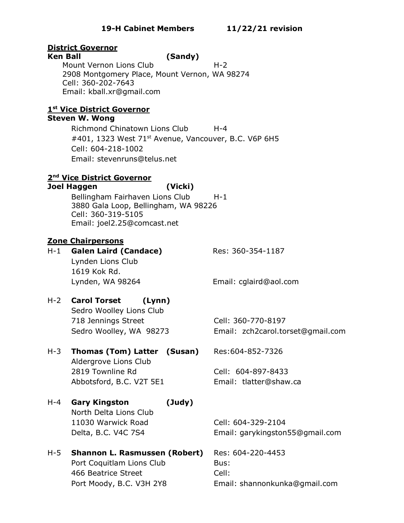# **District Governor**

#### **Ken Ball (Sandy)**

Mount Vernon Lions Club H-2 2908 Montgomery Place, Mount Vernon, WA 98274 Cell: 360-202-7643 Email: kball.xr@gmail.com

# **1 st Vice District Governor**

### **Steven W. Wong**

Richmond Chinatown Lions Club H-4 #401, 1323 West 71<sup>st</sup> Avenue, Vancouver, B.C. V6P 6H5 Cell: 604-218-1002 Email: stevenruns@telus.net

# **2 nd Vice District Governor**

#### **Joel Haggen (Vicki)**

Bellingham Fairhaven Lions Club H-1 3880 Gala Loop, Bellingham, WA 98226 Cell: 360-319-5105 Email: joel2.25@comcast.net

# **Zone Chairpersons**

H-1 **Galen Laird (Candace)** Res: 360-354-1187 Lynden Lions Club 1619 Kok Rd. Lynden, WA 98264 Email: cglaird@aol.com

# H-2 **Carol Torset (Lynn)**

Sedro Woolley Lions Club 718 Jennings Street Cell: 360-770-8197

Sedro Woolley, WA 98273 Email: zch2carol.torset@gmail.com

# H-3 **Thomas (Tom) Latter (Susan)** Res:604-852-7326

Aldergrove Lions Club 2819 Townline Rd Cell: 604-897-8433 Abbotsford, B.C. V2T 5E1 Email: tlatter@shaw.ca

H-4 **Gary Kingston (Judy)** North Delta Lions Club 11030 Warwick Road Cell: 604-329-2104

H-5 **Shannon L. Rasmussen (Robert)** Res: 604-220-4453 Port Coquitlam Lions Club Bus: 466 Beatrice Street Cell:

Delta, B.C. V4C 7S4 Email: garykingston55@gmail.com

Port Moody, B.C. V3H 2Y8 Email: shannonkunka@gmail.com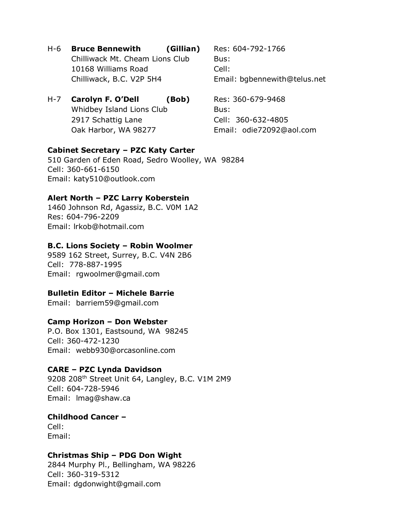H-6 **Bruce Bennewith (Gillian)** Res: 604-792-1766 Chilliwack Mt. Cheam Lions Club Bus: 10168 Williams Road Cell: Chilliwack, B.C. V2P 5H4 Email: bgbennewith@telus.net

# H-7 **Carolyn F. O'Dell (Bob)** Res: 360-679-9468 Whidbey Island Lions Club Bus: 2917 Schattig Lane Cell: 360-632-4805 Oak Harbor, WA 98277 Email: odie72092@aol.com

# **Cabinet Secretary – PZC Katy Carter**

510 Garden of Eden Road, Sedro Woolley, WA 98284 Cell: 360-661-6150 Email: katy510@outlook.com

# **Alert North – PZC Larry Koberstein**

1460 Johnson Rd, Agassiz, B.C. V0M 1A2 Res: 604-796-2209 Email: lrkob@hotmail.com

# **B.C. Lions Society – Robin Woolmer**

9589 162 Street, Surrey, B.C. V4N 2B6 Cell: 778-887-1995 Email: rgwoolmer@gmail.com

# **Bulletin Editor – Michele Barrie**

Email: barriem59@gmail.com

# **Camp Horizon – Don Webster**

P.O. Box 1301, Eastsound, WA 98245 Cell: 360-472-1230 Email: webb930@orcasonline.com

# **CARE – PZC Lynda Davidson**

9208 208<sup>th</sup> Street Unit 64, Langley, B.C. V1M 2M9 Cell: 604-728-5946 Email: lmag@shaw.ca

# **Childhood Cancer –**

Cell: Email:

# **Christmas Ship – PDG Don Wight**

2844 Murphy Pl., Bellingham, WA 98226 Cell: 360-319-5312 Email: dgdonwight@gmail.com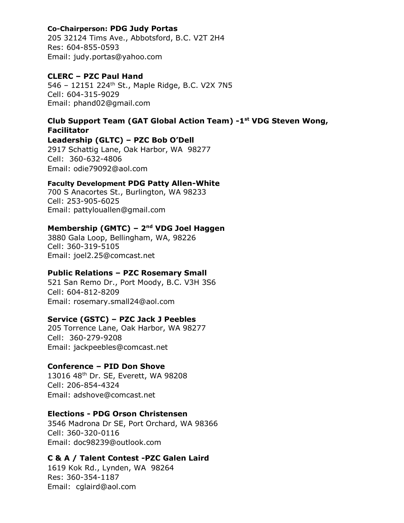# **Co-Chairperson: PDG Judy Portas**

205 32124 Tims Ave., Abbotsford, B.C. V2T 2H4 Res: 604-855-0593 Email: judy.portas@yahoo.com

## **CLERC – PZC Paul Hand**

546 – 12151 224th St., Maple Ridge, B.C. V2X 7N5 Cell: 604-315-9029 Email: phand02@gmail.com

# **Club Support Team (GAT Global Action Team) -1 st VDG Steven Wong, Facilitator**

**Leadership (GLTC) – PZC Bob O'Dell** 2917 Schattig Lane, Oak Harbor, WA 98277 Cell: 360-632-4806 Email: odie79092@aol.com

### **Faculty Development PDG Patty Allen-White**

700 S Anacortes St., Burlington, WA 98233 Cell: 253-905-6025 Email: pattylouallen@gmail.com

# **Membership (GMTC) – 2 nd VDG Joel Haggen**

3880 Gala Loop, Bellingham, WA, 98226 Cell: 360-319-5105 Email: joel2.25@comcast.net

# **Public Relations – PZC Rosemary Small**

521 San Remo Dr., Port Moody, B.C. V3H 3S6 Cell: 604-812-8209 Email: rosemary.small24@aol.com

# **Service (GSTC) – PZC Jack J Peebles**

205 Torrence Lane, Oak Harbor, WA 98277 Cell: 360-279-9208 Email: jackpeebles@comcast.net

#### **Conference – PID Don Shove**

13016 48th Dr. SE, Everett, WA 98208 Cell: 206-854-4324 Email: adshove@comcast.net

# **Elections - PDG Orson Christensen**

3546 Madrona Dr SE, Port Orchard, WA 98366 Cell: 360-320-0116 Email: doc98239@outlook.com

#### **C & A / Talent Contest -PZC Galen Laird**

1619 Kok Rd., Lynden, WA 98264 Res: 360-354-1187 Email: cglaird@aol.com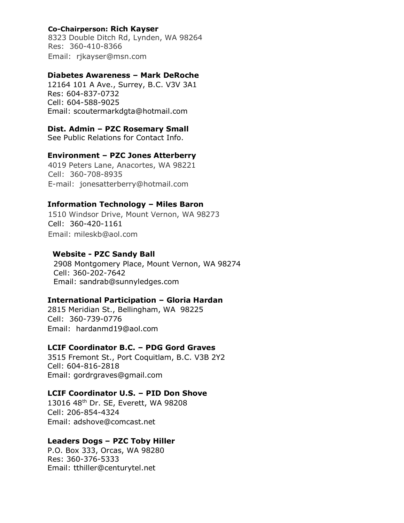# **Co-Chairperson: Rich Kayser**

8323 Double Ditch Rd, Lynden, WA 98264 Res:360-410-8366 Email: rjkayser@msn.com

#### **Diabetes Awareness – Mark DeRoche**

12164 101 A Ave., Surrey, B.C. V3V 3A1 Res: 604-837-0732 Cell: 604-588-9025 Email: scoutermarkdgta@hotmail.com

#### **Dist. Admin – PZC Rosemary Small**

See Public Relations for Contact Info.

#### **Environment – PZC Jones Atterberry**

4019 Peters Lane, Anacortes, WA 98221 Cell: 360-708-8935 E-mail: jonesatterberry@hotmail.com

#### **Information Technology – Miles Baron**

1510 Windsor Drive, Mount Vernon, WA 98273 Cell: 360-420-1161 Email: mileskb@aol.com

#### **Website - PZC Sandy Ball**

2908 Montgomery Place, Mount Vernon, WA 98274 Cell: 360-202-7642 Email: sandrab@sunnyledges.com

#### **International Participation – Gloria Hardan**

2815 Meridian St., Bellingham, WA 98225 Cell: 360-739-0776 Email: hardanmd19@aol.com

#### **LCIF Coordinator B.C. – PDG Gord Graves**

3515 Fremont St., Port Coquitlam, B.C. V3B 2Y2 Cell: 604-816-2818 Email: gordrgraves@gmail.com

# **LCIF Coordinator U.S. – PID Don Shove**

13016 48th Dr. SE, Everett, WA 98208 Cell: 206-854-4324 Email: adshove@comcast.net

#### **Leaders Dogs – PZC Toby Hiller**

P.O. Box 333, Orcas, WA 98280 Res: 360-376-5333 Email: tthiller@centurytel.net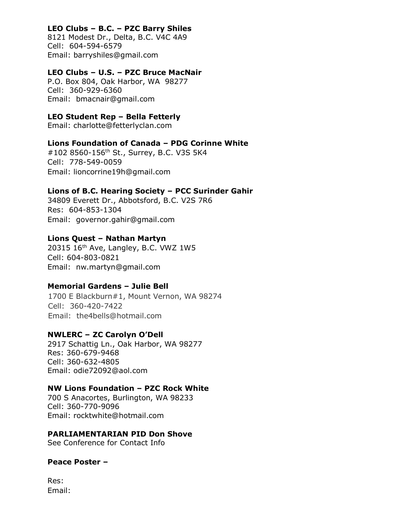# **LEO Clubs – B.C. – PZC Barry Shiles**

8121 Modest Dr., Delta, B.C. V4C 4A9 Cell: 604-594-6579 Email: barryshiles@gmail.com

# **LEO Clubs – U.S. – PZC Bruce MacNair**

P.O. Box 804, Oak Harbor, WA 98277 Cell: 360-929-6360 Email: bmacnair@gmail.com

# **LEO Student Rep – Bella Fetterly**

Email: charlotte@fetterlyclan.com

# **Lions Foundation of Canada – PDG Corinne White**

#102 8560-156th St., Surrey, B.C. V3S 5K4 Cell: 778-549-0059 Email: lioncorrine19h@gmail.com

# **Lions of B.C. Hearing Society – PCC Surinder Gahir**

34809 Everett Dr., Abbotsford, B.C. V2S 7R6 Res: 604-853-1304 Email: governor.gahir@gmail.com

# **Lions Quest – Nathan Martyn**

20315 16th Ave, Langley, B.C. VWZ 1W5 Cell: 604-803-0821 Email: nw.martyn@gmail.com

# **Memorial Gardens – Julie Bell**

1700 E Blackburn#1, Mount Vernon, WA 98274 Cell: 360-420-7422 Email: the4bells@hotmail.com

# **NWLERC – ZC Carolyn O'Dell**

2917 Schattig Ln., Oak Harbor, WA 98277 Res: 360-679-9468 Cell: 360-632-4805 Email: odie72092@aol.com

# **NW Lions Foundation – PZC Rock White**

700 S Anacortes, Burlington, WA 98233 Cell: 360-770-9096 Email: rocktwhite@hotmail.com

#### **PARLIAMENTARIAN PID Don Shove**

See Conference for Contact Info

#### **Peace Poster –**

Res: Email: